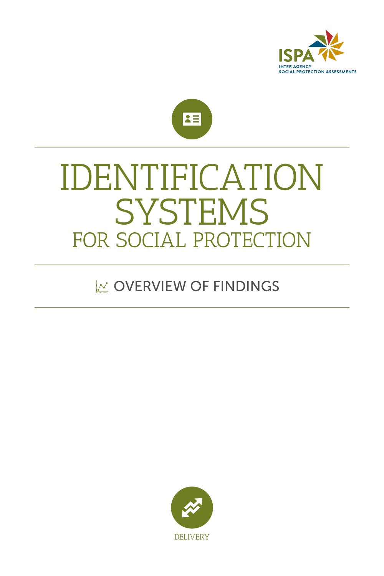



## **SYSTEMS** FOR SOCIAL PROTECTION IDENTIFICATION

## **NOVERVIEW OF FINDINGS**

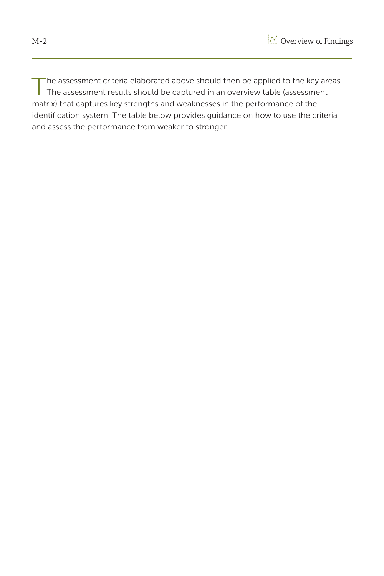

The assessment criteria elaborated above should then be applied to the key areas. The assessment results should be captured in an overview table (assessment matrix) that captures key strengths and weaknesses in the performance of the identification system. The table below provides guidance on how to use the criteria and assess the performance from weaker to stronger.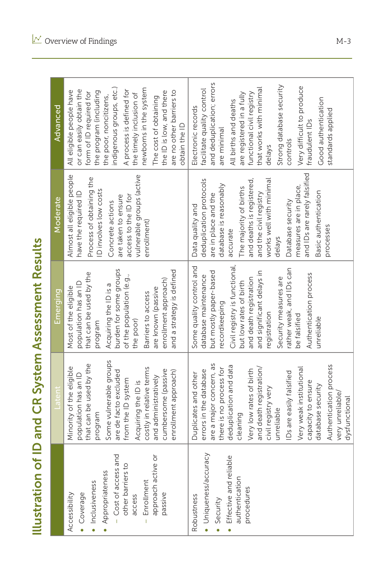Illustration of ID and CR System Assessment Results

|                                                                                                                                                                               |                                                                                                                                                                                                                                                                                                                                                                                                       | <b>Illustration of ID and CR System Assessment Results</b>                                                                                                                                                                                                                                                                              |                                                                                                                                                                                                                                                                                                                                                     |                                                                                                                                                                                                                                                                                                                                                         |
|-------------------------------------------------------------------------------------------------------------------------------------------------------------------------------|-------------------------------------------------------------------------------------------------------------------------------------------------------------------------------------------------------------------------------------------------------------------------------------------------------------------------------------------------------------------------------------------------------|-----------------------------------------------------------------------------------------------------------------------------------------------------------------------------------------------------------------------------------------------------------------------------------------------------------------------------------------|-----------------------------------------------------------------------------------------------------------------------------------------------------------------------------------------------------------------------------------------------------------------------------------------------------------------------------------------------------|---------------------------------------------------------------------------------------------------------------------------------------------------------------------------------------------------------------------------------------------------------------------------------------------------------------------------------------------------------|
|                                                                                                                                                                               | aten                                                                                                                                                                                                                                                                                                                                                                                                  | Emerging                                                                                                                                                                                                                                                                                                                                | Moderate                                                                                                                                                                                                                                                                                                                                            | Advanced                                                                                                                                                                                                                                                                                                                                                |
| - Cost of access and<br>approach active or<br>other barriers to<br>Appropriateness<br>Enrollment<br>· Inclusiveness<br>· Coverage<br>passive<br>Accessibility<br>access<br>Ĭ. | Some vulnerable groups<br>that can be used by the<br>Minority of the eligible<br>costly in relative terms<br>cumbersome (passive<br>are de facto excluded<br>enrollment approach)<br>population has an ID<br>and administratively<br>from the ID system<br>Acquiring the ID is<br>program                                                                                                             | burden for some groups<br>and a strategy is defined<br>that can be used by the<br>of the population (e.g.,<br>enrollment approach)<br>population has an ID<br>Acquiring the ID is a<br>Most of the eligible<br>are known (passive<br>Barriers to access<br>the poor)<br>program                                                         | Almost all eligible people<br>vulnerable groups (active<br>Process of obtaining the<br>ID involves low costs<br>have the required ID<br>are taken to ensure<br>access to the ID for<br>Concrete actions<br>enrollment)                                                                                                                              | indigenous groups, etc.)<br>newborns in the system<br>A process is defined for<br>or can easily obtain the<br>are no other barriers to<br>All eligible people have<br>the program (including<br>the ID is low, and there<br>form of ID required for<br>the timely inclusion of<br>the poor, noncitizens,<br>The cost of obtaining<br>obtain the ID      |
| · Uniqueness/accuracy<br>Effective and reliable<br>authentication<br>procedures<br>Robustness<br>Security                                                                     | are a major concern, as<br>Authentication process<br>deduplication and data<br>and death registration/<br>Very weak institutional<br>there is no process for<br>Very low rates of birth<br>errors in the database<br>Ds are easily falsified<br>Ouplicates and other<br>capacity to ensure<br>database security<br>civil registry very<br>very unreliable/<br>dysfunctional<br>unreliable<br>cleaning | Civil registry is functional,<br>Some quality control and<br>ather weak, and IDs can<br>and significant delays in<br>but mostly paper-based<br>Authentication process<br>database maintenance<br>Security measures are<br>and death registration<br>but low rates of birth<br>ecordkeeping<br>egistration<br>be falsified<br>unreliable | and IDs are rarely falsified<br>deduplication protocols<br>and deaths is registered,<br>works well with minimal<br>database is reasonably<br>measures are in place,<br>The majority of births<br>Basic authentication<br>and the civil registry<br>are in place and the<br>Database security<br>Data quality and<br>processes<br>accurate<br>delays | and deduplication; errors<br>Strong database security<br>Very difficult to produce<br>that works with minimal<br>facilitate quality control<br>functional civil registry<br>are registered in a fully<br>Good authentication<br>All births and deaths<br>Electronic records<br>standards applied<br>fraudulent IDs<br>are minimal<br>controls<br>delays |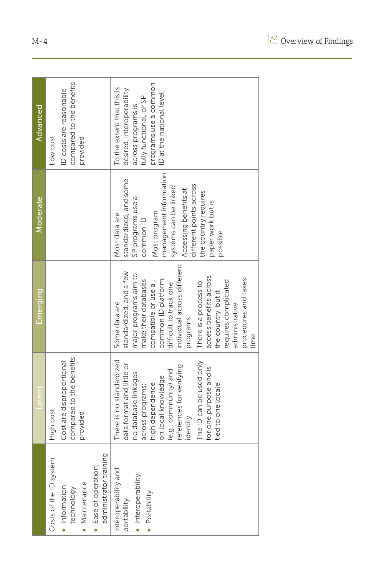|                                                                                                                                     | Latent                                                                                                                                                                                                                                                                                 | Emerging                                                                                                                                                                                                                                                                                                                                                         | Moderate                                                                                                                                                                                                                                                  | Advanced                                                                                                                                                      |
|-------------------------------------------------------------------------------------------------------------------------------------|----------------------------------------------------------------------------------------------------------------------------------------------------------------------------------------------------------------------------------------------------------------------------------------|------------------------------------------------------------------------------------------------------------------------------------------------------------------------------------------------------------------------------------------------------------------------------------------------------------------------------------------------------------------|-----------------------------------------------------------------------------------------------------------------------------------------------------------------------------------------------------------------------------------------------------------|---------------------------------------------------------------------------------------------------------------------------------------------------------------|
| administrator training<br>Costs of the ID system<br>· Ease of operation;<br>Maintenance<br>· Information<br>technology<br>$\bullet$ | compared to the benefits<br>Cost are disproportional<br>High cost<br>provided                                                                                                                                                                                                          |                                                                                                                                                                                                                                                                                                                                                                  |                                                                                                                                                                                                                                                           | compared to the benefits<br>D costs are reasonable<br>Low cost<br>provided                                                                                    |
| Interoperability and<br>· Interoperability<br>· Portability<br>portability                                                          | There is no standardized<br>The ID can be used only<br>data format and little or<br>references for verifying<br>for one purpose and is<br>(e.g., community) and<br>no database linkages<br>on local knowledge<br>high dependence<br>tied to one locale<br>across programs;<br>identity | individual across different<br>standardized, and a few<br>major programs aim to<br>access benefits across<br>common ID platform;<br>procedures and takes<br>make their databases<br>requires complicated<br>There is a process to<br>difficult to track one<br>compatible or use a<br>the country, but it<br>Some data are<br>administrative<br>programs<br>time | management information<br>standardized, and some<br>different points across<br>systems can be linked<br>Accessing benefits at<br>the country requires<br>SP programs use a<br>paper work but is<br>Most program<br>Most data are<br>common ID<br>possible | programs use a common<br>To the extent that this is<br>desired, interoperability<br>ID at the national level<br>fully functional, or SP<br>across programs is |